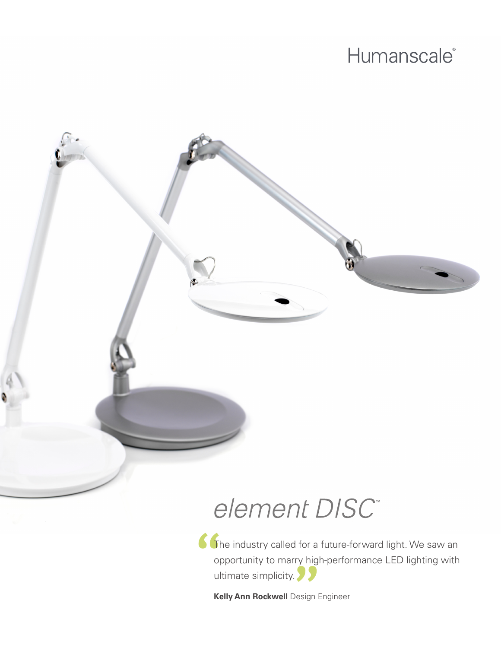## Humanscale<sup>®</sup>

# element DISC<sup>®</sup>

**"** The industry called for a future-forward light. We saw an **"**<br>" **"**<br> **"** opportunity to marry high-performance LED lighting with ultimate simplicity.

**Kelly Ann Rockwell** Design Engineer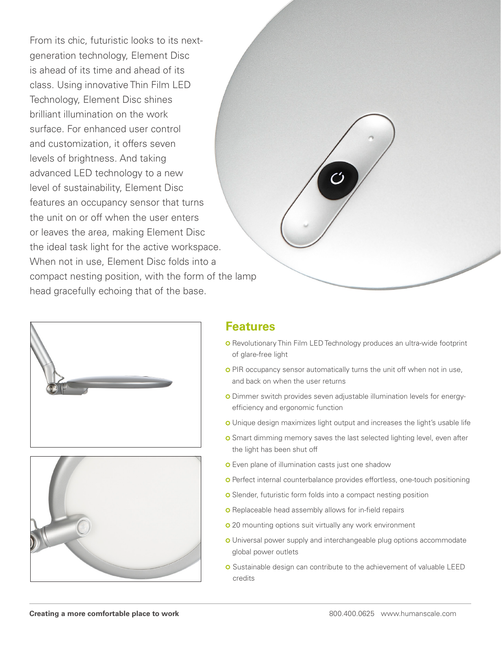From its chic, futuristic looks to its nextgeneration technology, Element Disc is ahead of its time and ahead of its class. Using innovative Thin Film LED Technology, Element Disc shines brilliant illumination on the work surface. For enhanced user control and customization, it offers seven levels of brightness. And taking advanced LED technology to a new level of sustainability, Element Disc features an occupancy sensor that turns the unit on or off when the user enters or leaves the area, making Element Disc the ideal task light for the active workspace. When not in use, Element Disc folds into a compact nesting position, with the form of the lamp head gracefully echoing that of the base.







#### **Features**

- **O** Revolutionary Thin Film LED Technology produces an ultra-wide footprint of glare-free light
- o PIR occupancy sensor automatically turns the unit off when not in use, and back on when the user returns
- Dimmer switch provides seven adjustable illumination levels for energyefficiency and ergonomic function
- o Unique design maximizes light output and increases the light's usable life
- **O** Smart dimming memory saves the last selected lighting level, even after the light has been shut off
- **o** Even plane of illumination casts just one shadow
- **o** Perfect internal counterbalance provides effortless, one-touch positioning
- o Slender, futuristic form folds into a compact nesting position
- **o** Replaceable head assembly allows for in-field repairs
- **o** 20 mounting options suit virtually any work environment
- o Universal power supply and interchangeable plug options accommodate global power outlets
- o Sustainable design can contribute to the achievement of valuable LEED credits